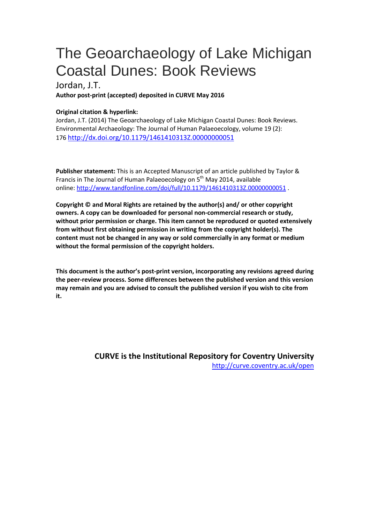## The Geoarchaeology of Lake Michigan Coastal Dunes: Book Reviews

## Jordan, J.T.

**Author post-print (accepted) deposited in CURVE May 2016**

## **Original citation & hyperlink:**

Jordan, J.T. (2014) The Geoarchaeology of Lake Michigan Coastal Dunes: Book Reviews. Environmental Archaeology: The Journal of Human Palaeoecology, volume 19 (2): 176<http://dx.doi.org/10.1179/1461410313Z.00000000051>

**Publisher statement:** This is an Accepted Manuscript of an article published by Taylor & Francis in The Journal of Human Palaeoecology on 5<sup>th</sup> May 2014, available online:<http://www.tandfonline.com/doi/full/10.1179/1461410313Z.00000000051> .

**Copyright © and Moral Rights are retained by the author(s) and/ or other copyright owners. A copy can be downloaded for personal non-commercial research or study, without prior permission or charge. This item cannot be reproduced or quoted extensively from without first obtaining permission in writing from the copyright holder(s). The content must not be changed in any way or sold commercially in any format or medium without the formal permission of the copyright holders.** 

**This document is the author's post-print version, incorporating any revisions agreed during the peer-review process. Some differences between the published version and this version may remain and you are advised to consult the published version if you wish to cite from it.** 

> **CURVE is the Institutional Repository for Coventry University** <http://curve.coventry.ac.uk/open>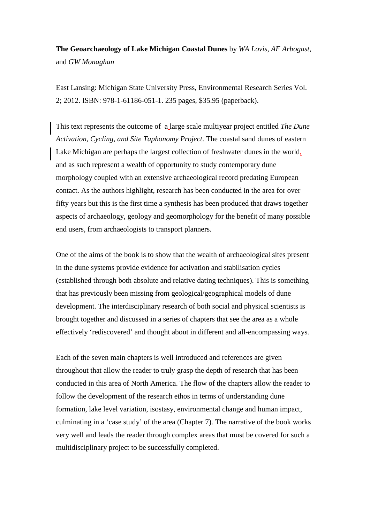**The Geoarchaeology of Lake Michigan Coastal Dunes** by *WA Lovis*, *AF Arbogast*, and *GW Monaghan*

East Lansing: Michigan State University Press, Environmental Research Series Vol. 2; 2012. ISBN: 978-1-61186-051-1. 235 pages, \$35.95 (paperback).

This text represents the outcome of a large scale multiyear project entitled *The Dune Activation, Cycling, and Site Taphonomy Project*. The coastal sand dunes of eastern Lake Michigan are perhaps the largest collection of freshwater dunes in the world, and as such represent a wealth of opportunity to study contemporary dune morphology coupled with an extensive archaeological record predating European contact. As the authors highlight, research has been conducted in the area for over fifty years but this is the first time a synthesis has been produced that draws together aspects of archaeology, geology and geomorphology for the benefit of many possible end users, from archaeologists to transport planners.

One of the aims of the book is to show that the wealth of archaeological sites present in the dune systems provide evidence for activation and stabilisation cycles (established through both absolute and relative dating techniques). This is something that has previously been missing from geological/geographical models of dune development. The interdisciplinary research of both social and physical scientists is brought together and discussed in a series of chapters that see the area as a whole effectively 'rediscovered' and thought about in different and all-encompassing ways.

Each of the seven main chapters is well introduced and references are given throughout that allow the reader to truly grasp the depth of research that has been conducted in this area of North America. The flow of the chapters allow the reader to follow the development of the research ethos in terms of understanding dune formation, lake level variation, isostasy, environmental change and human impact, culminating in a 'case study' of the area (Chapter 7). The narrative of the book works very well and leads the reader through complex areas that must be covered for such a multidisciplinary project to be successfully completed.